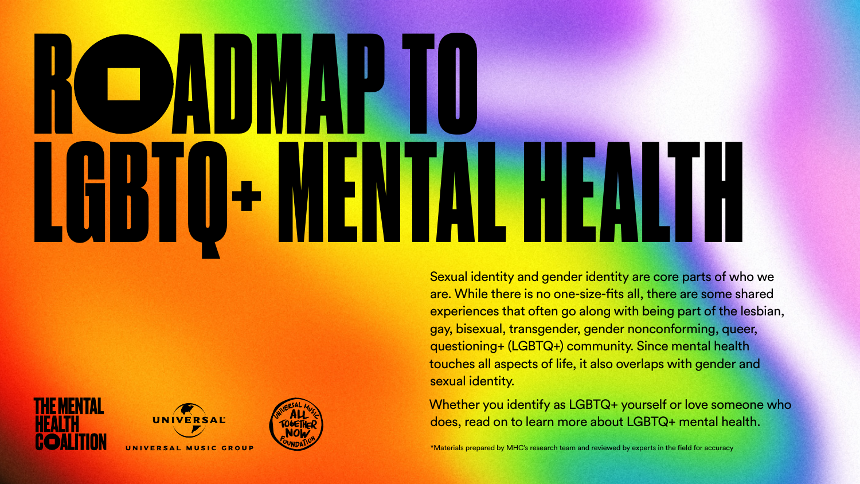





UNIVERSAL MUSIC GROUP



Sexual identity and gender identity are core parts of who we are. While there is no one-size-fits all, there are some shared experiences that often go along with being part of the lesbian, gay, bisexual, transgender, gender nonconforming, queer, questioning+ (LGBTQ+) community. Since mental health touches all aspects of life, it also overlaps with gender and sexual identity.

Whether you identify as LGBTQ+ yourself or love someone who does, read on to learn more about LGBTQ+ mental health.

\*Materials prepared by MHC's research team and reviewed by experts in the field for accuracy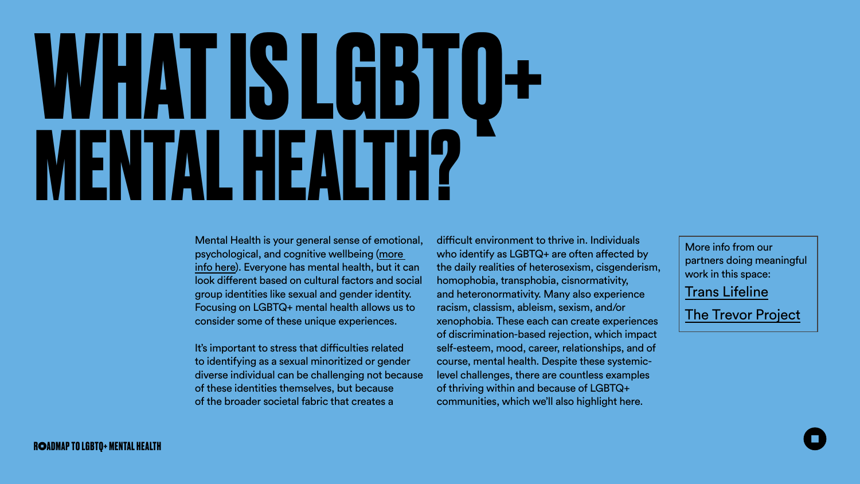# **WHAT IS LGBTQ+ MENTAL HEALTH?**

Mental Health is your general sense of emotional, psychological, and cognitive wellbeing [\(more](https://thementalhealthcoalition.org/wp-content/uploads/2020/12/MHC_Roadmap_16-9_R2-1.pdf)  [info here\)](https://thementalhealthcoalition.org/wp-content/uploads/2020/12/MHC_Roadmap_16-9_R2-1.pdf). Everyone has mental health, but it can look different based on cultural factors and social group identities like sexual and gender identity. Focusing on LGBTQ+ mental health allows us to consider some of these unique experiences. It's important to stress that difficulties related to identifying as a sexual minoritized or gender diverse individual can be challenging not because of these identities themselves, but because of the broader societal fabric that creates a difficult environment to thrive in. Individuals who identify as LGBTQ+ are often affected by the daily realities of heterosexism, cisgenderism, homophobia, transphobia, cisnormativity, and heteronormativity. Many also experience racism, classism, ableism, sexism, and/or xenophobia. These each can create experiences of discrimination-based rejection, which impact self-esteem, mood, career, relationships, and of course, mental health. Despite these systemiclevel challenges, there are countless examples of thriving within and because of LGBTQ+ communities, which we'll also highlight here.

More info from our partners doing meaningful work in this space:

[Trans Lifeline](https://translifeline.org/resources/)

[The Trevor Project](https://www.thetrevorproject.org/resources/)

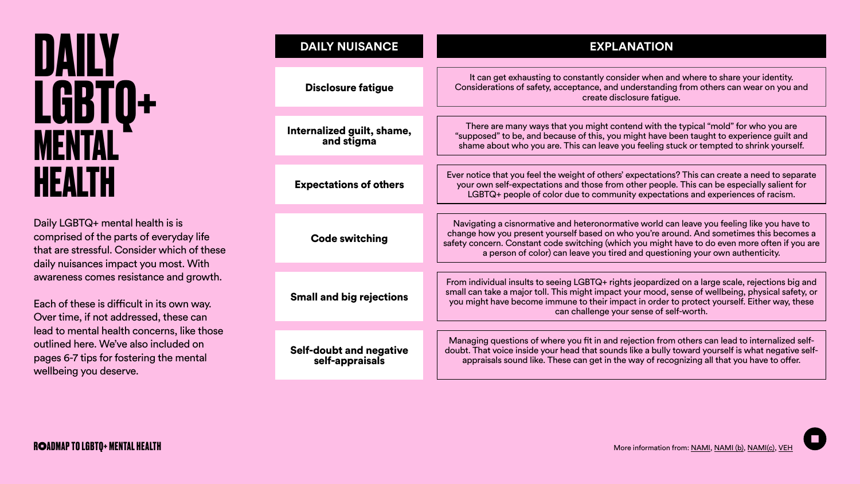|  | It can get exhausting to constantly consider when and where to share your identity.<br>Considerations of safety, acceptance, and understanding from others can wear on you and<br>create disclosure fatigue.                                                                                                                                                              |
|--|---------------------------------------------------------------------------------------------------------------------------------------------------------------------------------------------------------------------------------------------------------------------------------------------------------------------------------------------------------------------------|
|  |                                                                                                                                                                                                                                                                                                                                                                           |
|  | There are many ways that you might contend with the typical "mold" for who you are<br>"supposed" to be, and because of this, you might have been taught to experience guilt and<br>shame about who you are. This can leave you feeling stuck or tempted to shrink yourself.                                                                                               |
|  |                                                                                                                                                                                                                                                                                                                                                                           |
|  | Ever notice that you feel the weight of others' expectations? This can create a need to separate<br>your own self-expectations and those from other people. This can be especially salient for<br>LGBTQ+ people of color due to community expectations and experiences of racism.                                                                                         |
|  |                                                                                                                                                                                                                                                                                                                                                                           |
|  | Navigating a cisnormative and heteronormative world can leave you feeling like you have to<br>change how you present yourself based on who you're around. And sometimes this becomes a<br>safety concern. Constant code switching (which you might have to do even more often if you are<br>a person of color) can leave you tired and questioning your own authenticity. |
|  |                                                                                                                                                                                                                                                                                                                                                                           |
|  | From individual insults to seeing LGBTQ+ rights jeopardized on a large scale, rejections big and<br>small can take a major toll. This might impact your mood, sense of wellbeing, physical safety, or<br>you might have become immune to their impact in order to protect yourself. Either way, these<br>can challenge your sense of self-worth.                          |
|  |                                                                                                                                                                                                                                                                                                                                                                           |
|  | Managing questions of where you fit in and rejection from others can lead to internalized self-<br>doubt. That voice inside your head that sounds like a bully toward yourself is what negative self-<br>appraisals sound like. These can get in the way of recognizing all that you have to offer.                                                                       |
|  |                                                                                                                                                                                                                                                                                                                                                                           |





Disclosure fatigue

Internalized guilt, shame, and stigma

Expectations of others

Small and big rejections

Code switching

Self-doubt and negative self-appraisals

Daily LGBTQ+ mental health is is comprised of the parts of everyday life that are stressful. Consider which of these daily nuisances impact you most. With awareness comes resistance and growth.

Each of these is difficult in its own way. Over time, if not addressed, these can lead to mental health concerns, like those outlined here. We've also included on pages 6-7 tips for fostering the mental wellbeing you deserve.

### **DAILY LGBTQ+ MENTAL HEALTH**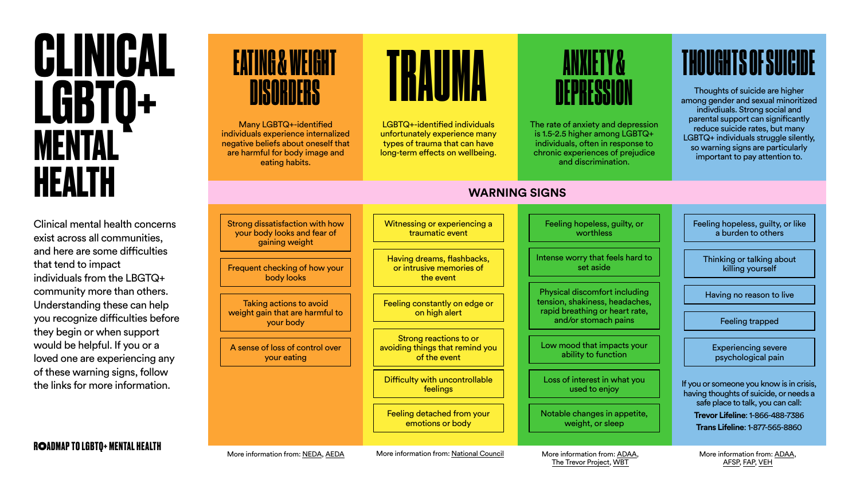[The Trevor Project](https://www.thetrevorproject.org/2020/03/26/how-lgbtq-youth-can-cope-with-anxiety-and-stress-during-covid-19/), [WBT](https://wellbeingtrust.org/news/gay-pride-lgtbq-mental-health-awareness/)

More information from: [ADAA](https://afsp.org/risk-factors-and-warning-signs#suicide-warning-signs), [AFSP,](https://www.datocms-assets.com/12810/1602772688-facts-about-mental-health-and-suicide-risk-among-lgbtq-people.pdf) [FAP](https://familyproject.sfsu.edu/poster-english), [VEH](https://youmatter.suicidepreventionlifeline.org/lets-stop-suicide-in-the-trans-community/)



Clinical mental health concerns exist across all communities, and here are some difficulties that tend to impact individuals from the LBGTQ+ community more than others. Understanding these can help you recognize difficulties before they begin or when support would be helpful. If you or a loved one are experiencing any of these warning signs, follow the links for more information.

## **EATING & WEIGHT**

Strong dissatisfaction with how your body looks and fear of gaining weight

Witnessing or experiencing a traumatic event

Difficulty with uncontrollable feelings

Feeling detached from your emotions or body

Feeling hopeless, guilty, or worthless

Feeling hopeless, guilty, or like a burden to others

Frequent checking of how your body looks

Having dreams, flashbacks, or intrusive memories of the event

Intense worry that feels hard to set aside

Taking actions to avoid weight gain that are harmful to your body

Feeling constantly on edge or on high alert

Physical discomfort including tension, shakiness, headaches, rapid breathing or heart rate, and/or stomach pains

Thinking or talking about killing yourself

Experiencing severe psychological pain

A sense of loss of control over your eating

Strong reactions to or avoiding things that remind you of the event

Low mood that impacts your ability to function

Loss of interest in what you used to enjoy

Notable changes in appetite, weight, or sleep

Having no reason to live

Feeling trapped

Many LGBTQ+-identified individuals experience internalized negative beliefs about oneself that are harmful for body image and eating habits.



LGBTQ+-identified individuals unfortunately experience many types of trauma that can have long-term effects on wellbeing.

The rate of anxiety and depression is 1.5-2.5 higher among LGBTQ+ individuals, often in response to chronic experiences of prejudice and discrimination.

Thoughts of suicide are higher among gender and sexual minoritized indivdiuals. Strong social and parental support can significantly reduce suicide rates, but many LGBTQ+ individuals struggle silently, so warning signs are particularly important to pay attention to.

If you or someone you know is in crisis, having thoughts of suicide, or needs a safe place to talk, you can call: **Trevor Lifeline**: 1-866-488-7386

**Trans Lifeline**: 1-877-565-8860

## DEPRESSION

### THOUGHTS OF SUICIDE

### **WARNING SIGNS**

### **CLINICAL LGBTQ+ MENTAL HEALTH**

# ENGENE TRAUMA ANXIETY &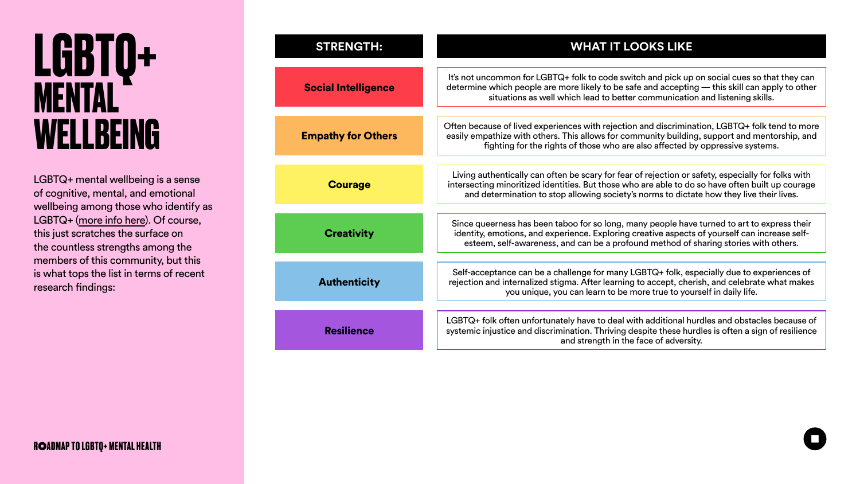### **STRENGTH: WHAT IT LOOKS LIKE**

It's not uncommon for LGBTQ+ folk to code switch and pick up on social cues so that they can determine which people are more likely to be safe and accepting — this skill can apply to other situations as well which lead to better communication and listening skills.

Often because of lived experiences with rejection and discrimination, LGBTQ+ folk tend to more easily empathize with others. This allows for community building, support and mentorship, and fighting for the rights of those who are also affected by oppressive systems.

Living authentically can often be scary for fear of rejection or safety, especially for folks with intersecting minoritized identities. But those who are able to do so have often built up courage and determination to stop allowing society's norms to dictate how they live their lives.

Self-acceptance can be a challenge for many LGBTQ+ folk, especially due to experiences of rejection and internalized stigma. After learning to accept, cherish, and celebrate what makes you unique, you can learn to be more true to yourself in daily life.

Since queerness has been taboo for so long, many people have turned to art to express their identity, emotions, and experience. Exploring creative aspects of yourself can increase selfesteem, self-awareness, and can be a profound method of sharing stories with others.

LGBTQ+ folk often unfortunately have to deal with additional hurdles and obstacles because of systemic injustice and discrimination. Thriving despite these hurdles is often a sign of resilience and strength in the face of adversity.





Social Intelligence Empathy for Others **Courage Authenticity Creativity** Resilience

LGBTQ+ mental wellbeing is a sense of cognitive, mental, and emotional wellbeing among those who identify as LGBTQ+ [\(more info here](https://thementalhealthcoalition.org/mhcs-roadmap-to-mental-health/)). Of course, this just scratches the surface on the countless strengths among the members of this community, but this is what tops the list in terms of recent research findings:

### **LGBTQ+ MENTAL WELLBEING**

### **R ADMAP TO LGBTQ+ MENTAL HEALTH**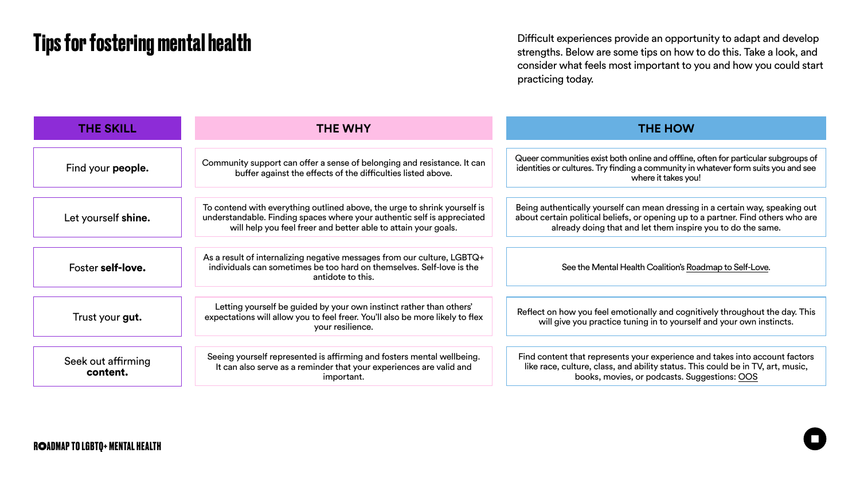Difficult experiences provide an opportunity to adapt and develop strengths. Below are some tips on how to do this. Take a look, and consider what feels most important to you and how you could start practicing today.





### **Tips for fostering mental health**

| <b>THE SKILL</b>               | <b>THE WHY</b>                                                                                                                                                                                                         | <b>THE HOW</b>                                                                                                                                                                                                                   |
|--------------------------------|------------------------------------------------------------------------------------------------------------------------------------------------------------------------------------------------------------------------|----------------------------------------------------------------------------------------------------------------------------------------------------------------------------------------------------------------------------------|
|                                |                                                                                                                                                                                                                        |                                                                                                                                                                                                                                  |
| Find your <b>people.</b>       | Community support can offer a sense of belonging and resistance. It can<br>buffer against the effects of the difficulties listed above.                                                                                | Queer communities exist both online and offline, often for particular subgroups of<br>identities or cultures. Try finding a community in whatever form suits you and see<br>where it takes you!                                  |
| Let yourself shine.            | To contend with everything outlined above, the urge to shrink yourself is<br>understandable. Finding spaces where your authentic self is appreciated<br>will help you feel freer and better able to attain your goals. | Being authentically yourself can mean dressing in a certain way, speaking out<br>about certain political beliefs, or opening up to a partner. Find others who are<br>already doing that and let them inspire you to do the same. |
| <b>Foster self-love.</b>       | As a result of internalizing negative messages from our culture, LGBTQ+<br>individuals can sometimes be too hard on themselves. Self-love is the<br>antidote to this.                                                  | See the Mental Health Coalition's Roadmap to Self-Love.                                                                                                                                                                          |
| Trust your <b>gut.</b>         | Letting yourself be guided by your own instinct rather than others'<br>expectations will allow you to feel freer. You'll also be more likely to flex<br>your resilience.                                               | Reflect on how you feel emotionally and cognitively throughout the day. This<br>will give you practice tuning in to yourself and your own instincts.                                                                             |
| Seek out affirming<br>content. | Seeing yourself represented is affirming and fosters mental wellbeing.<br>It can also serve as a reminder that your experiences are valid and<br>important.                                                            | Find content that represents your experience and takes into account factors<br>like race, culture, class, and ability status. This could be in TV, art, music,<br>books, movies, or podcasts. Suggestions: OOS                   |

### **R ADMAP TO LGBTQ+ MENTAL HEALTH**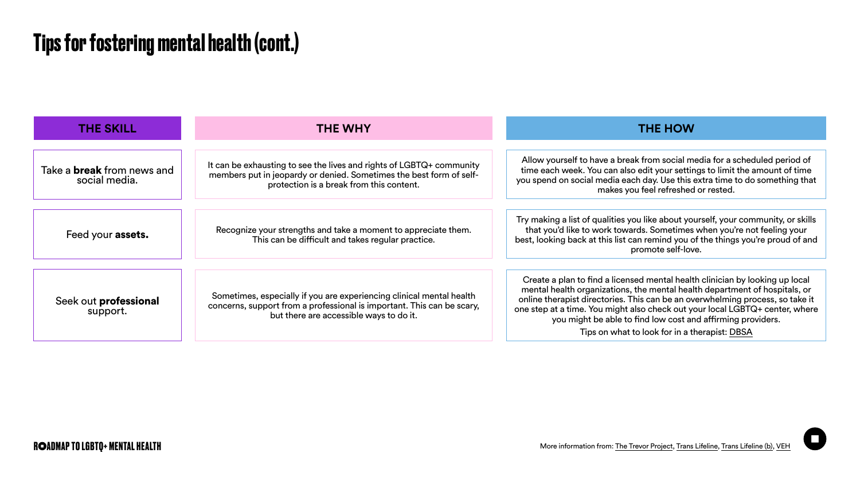### **Tips for fostering mental health (cont.)**



|                                                        | <b>THE HOW</b>                                                                                                                                                                                                                                                                                                                                                                                                                              |  |
|--------------------------------------------------------|---------------------------------------------------------------------------------------------------------------------------------------------------------------------------------------------------------------------------------------------------------------------------------------------------------------------------------------------------------------------------------------------------------------------------------------------|--|
|                                                        |                                                                                                                                                                                                                                                                                                                                                                                                                                             |  |
| <b>GBTQ+ community</b><br>e best form of self-<br>ent. | Allow yourself to have a break from social media for a scheduled period of<br>time each week. You can also edit your settings to limit the amount of time<br>you spend on social media each day. Use this extra time to do something that<br>makes you feel refreshed or rested.                                                                                                                                                            |  |
|                                                        |                                                                                                                                                                                                                                                                                                                                                                                                                                             |  |
| appreciate them.<br>oractice.                          | Try making a list of qualities you like about yourself, your community, or skills<br>that you'd like to work towards. Sometimes when you're not feeling your<br>best, looking back at this list can remind you of the things you're proud of and<br>promote self-love.                                                                                                                                                                      |  |
|                                                        |                                                                                                                                                                                                                                                                                                                                                                                                                                             |  |
| nical mental health<br>t. This can be scary,<br>o it.  | Create a plan to find a licensed mental health clinician by looking up local<br>mental health organizations, the mental health department of hospitals, or<br>online therapist directories. This can be an overwhelming process, so take it<br>one step at a time. You might also check out your local LGBTQ+ center, where<br>you might be able to find low cost and affirming providers.<br>Tips on what to look for in a therapist: DBSA |  |
|                                                        |                                                                                                                                                                                                                                                                                                                                                                                                                                             |  |